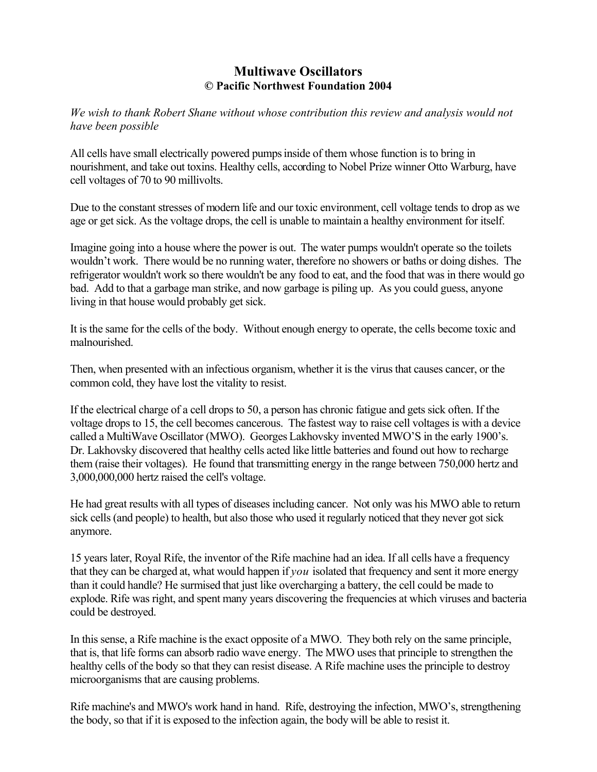# **Multiwave Oscillators © Pacific Northwest Foundation 2004**

*We wish to thank Robert Shane without whose contribution this review and analysis would not have been possible* 

All cells have small electrically powered pumps inside of them whose function is to bring in nourishment, and take out toxins. Healthy cells, according to Nobel Prize winner Otto Warburg, have cell voltages of 70 to 90 millivolts.

Due to the constant stresses of modern life and our toxic environment, cell voltage tends to drop as we age or get sick. As the voltage drops, the cell is unable to maintain a healthy environment for itself.

Imagine going into a house where the power is out. The water pumps wouldn't operate so the toilets wouldn't work. There would be no running water, therefore no showers or baths or doing dishes. The refrigerator wouldn't work so there wouldn't be any food to eat, and the food that was in there would go bad. Add to that a garbage man strike, and now garbage is piling up. As you could guess, anyone living in that house would probably get sick.

It is the same for the cells of the body. Without enough energy to operate, the cells become toxic and malnourished.

Then, when presented with an infectious organism, whether it is the virus that causes cancer, or the common cold, they have lost the vitality to resist.

If the electrical charge of a cell drops to 50, a person has chronic fatigue and gets sick often. If the voltage drops to 15, the cell becomes cancerous. The fastest way to raise cell voltages is with a device called a MultiWave Oscillator (MWO). Georges Lakhovsky invented MWO'S in the early 1900's. Dr. Lakhovsky discovered that healthy cells acted like little batteries and found out how to recharge them (raise their voltages). He found that transmitting energy in the range between 750,000 hertz and 3,000,000,000 hertz raised the cell's voltage.

He had great results with all types of diseases including cancer. Not only was his MWO able to return sick cells (and people) to health, but also those who used it regularly noticed that they never got sick anymore.

15 years later, Royal Rife, the inventor of the Rife machine had an idea. If all cells have a frequency that they can be charged at, what would happen if *you* isolated that frequency and sent it more energy than it could handle? He surmised that just like overcharging a battery, the cell could be made to explode. Rife was right, and spent many years discovering the frequencies at which viruses and bacteria could be destroyed.

In this sense, a Rife machine is the exact opposite of a MWO. They both rely on the same principle, that is, that life forms can absorb radio wave energy. The MWO uses that principle to strengthen the healthy cells of the body so that they can resist disease. A Rife machine uses the principle to destroy microorganisms that are causing problems.

Rife machine's and MWO's work hand in hand. Rife, destroying the infection, MWO's, strengthening the body, so that if it is exposed to the infection again, the body will be able to resist it.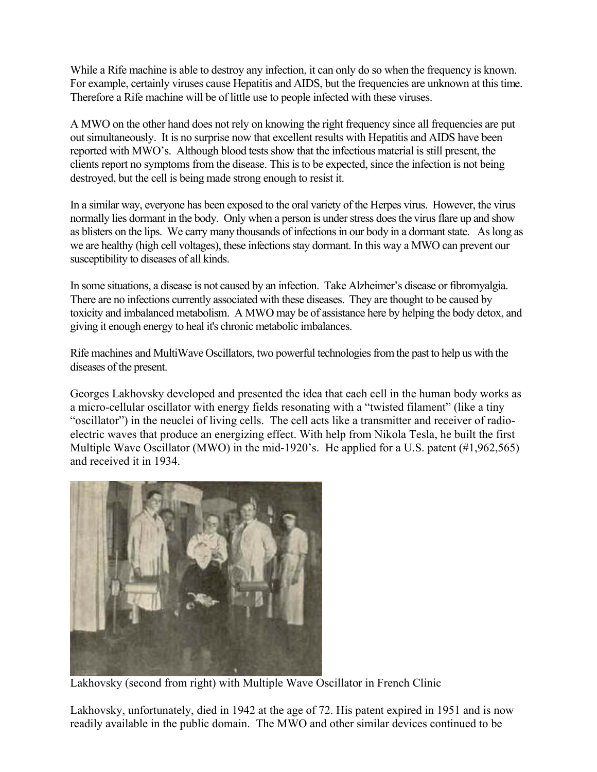While a Rife machine is able to destroy any infection, it can only do so when the frequency is known. For example, certainly viruses cause Hepatitis and AIDS, but the frequencies are unknown at this time. Therefore a Rife machine will be of little use to people infected with these viruses.

A MWO on the other hand does not rely on knowing the right frequency since all frequencies are put out simultaneously. It is no surprise now that excellent results with Hepatitis and AIDS have been reported with MWO's. Although blood tests show that the infectious material is still present, the clients report no symptoms from the disease. This is to be expected, since the infection is not being destroyed, but the cell is being made strong enough to resist it.

In a similar way, everyone has been exposed to the oral variety of the Herpes virus. However, the virus normally lies dormant in the body. Only when a person is under stress does the virus flare up and show as blisters on the lips. We carry many thousands of infections in our body in a dormant state. As long as we are healthy (high cell voltages), these infections stay dormant. In this way a MWO can prevent our susceptibility to diseases of all kinds.

In some situations, a disease is not caused by an infection. Take Alzheimer's disease or fibromyalgia. There are no infections currently associated with these diseases. They are thought to be caused by toxicity and imbalanced metabolism. A MWO may be of assistance here by helping the body detox, and giving it enough energy to heal it's chronic metabolic imbalances.

Rife machines and MultiWave Oscillators, two powerful technologies from the past to help us with the diseases of the present.

Georges Lakhovsky developed and presented the idea that each cell in the human body works as a micro-cellular oscillator with energy fields resonating with a "twisted filament" (like a tiny "oscillator") in the neuclei of living cells. The cell acts like a transmitter and receiver of radioelectric waves that produce an energizing effect. With help from Nikola Tesla, he built the first Multiple Wave Oscillator (MWO) in the mid-1920's. He applied for a U.S. patent (#1,962,565) and received it in 1934.



Lakhovsky (second from right) with Multiple Wave Oscillator in French Clinic

Lakhovsky, unfortunately, died in 1942 at the age of 72. His patent expired in 1951 and is now readily available in the public domain. The MWO and other similar devices continued to be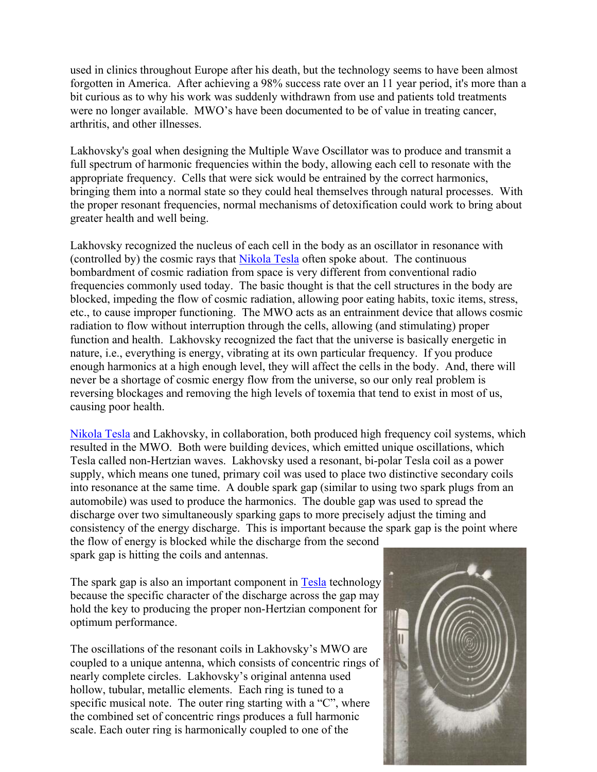used in clinics throughout Europe after his death, but the technology seems to have been almost forgotten in America. After achieving a 98% success rate over an 11 year period, it's more than a bit curious as to why his work was suddenly withdrawn from use and patients told treatments were no longer available. MWO's have been documented to be of value in treating cancer, arthritis, and other illnesses.

Lakhovsky's goal when designing the Multiple Wave Oscillator was to produce and transmit a full spectrum of harmonic frequencies within the body, allowing each cell to resonate with the appropriate frequency. Cells that were sick would be entrained by the correct harmonics, bringing them into a normal state so they could heal themselves through natural processes. With the proper resonant frequencies, normal mechanisms of detoxification could work to bring about greater health and well being.

Lakhovsky recognized the nucleus of each cell in the body as an oscillator in resonance with (controlled by) the cosmic rays that [Nikola Tesla](http://www.pbs.org/tesla) often spoke about. The continuous bombardment of cosmic radiation from space is very different from conventional radio frequencies commonly used today. The basic thought is that the cell structures in the body are blocked, impeding the flow of cosmic radiation, allowing poor eating habits, toxic items, stress, etc., to cause improper functioning. The MWO acts as an entrainment device that allows cosmic radiation to flow without interruption through the cells, allowing (and stimulating) proper function and health. Lakhovsky recognized the fact that the universe is basically energetic in nature, i.e., everything is energy, vibrating at its own particular frequency. If you produce enough harmonics at a high enough level, they will affect the cells in the body. And, there will never be a shortage of cosmic energy flow from the universe, so our only real problem is reversing blockages and removing the high levels of toxemia that tend to exist in most of us, causing poor health.

[Nikola Tesla](http://www.pbs.org/tesla) and Lakhovsky, in collaboration, both produced high frequency coil systems, which resulted in the MWO. Both were building devices, which emitted unique oscillations, which Tesla called non-Hertzian waves. Lakhovsky used a resonant, bi-polar Tesla coil as a power supply, which means one tuned, primary coil was used to place two distinctive secondary coils into resonance at the same time. A double spark gap (similar to using two spark plugs from an automobile) was used to produce the harmonics. The double gap was used to spread the discharge over two simultaneously sparking gaps to more precisely adjust the timing and consistency of the energy discharge. This is important because the spark gap is the point where the flow of energy is blocked while the discharge from the second spark gap is hitting the coils and antennas.

The spark gap is also an important component in **[Tesla](http://www.pbs.org/tesla)** technology because the specific character of the discharge across the gap may hold the key to producing the proper non-Hertzian component for optimum performance.

The oscillations of the resonant coils in Lakhovsky's MWO are coupled to a unique antenna, which consists of concentric rings of nearly complete circles. Lakhovsky's original antenna used hollow, tubular, metallic elements. Each ring is tuned to a specific musical note. The outer ring starting with a "C", where the combined set of concentric rings produces a full harmonic scale. Each outer ring is harmonically coupled to one of the

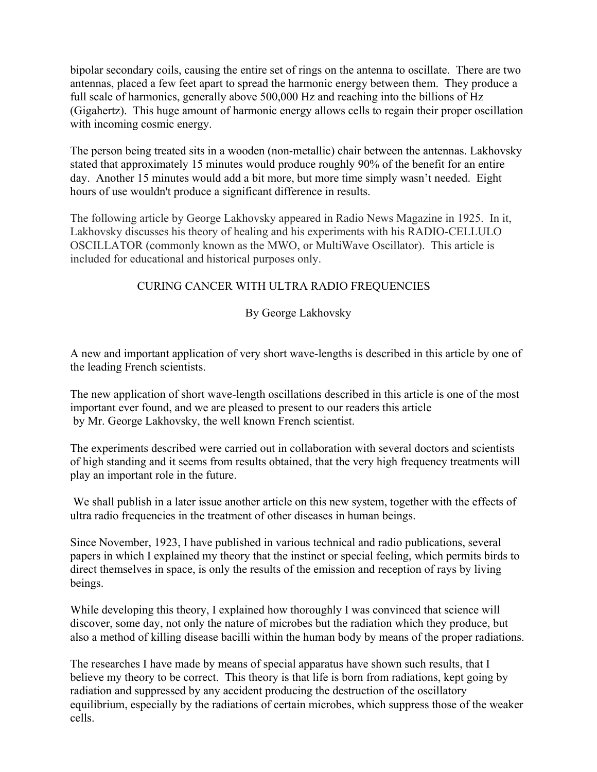bipolar secondary coils, causing the entire set of rings on the antenna to oscillate. There are two antennas, placed a few feet apart to spread the harmonic energy between them. They produce a full scale of harmonics, generally above 500,000 Hz and reaching into the billions of Hz (Gigahertz). This huge amount of harmonic energy allows cells to regain their proper oscillation with incoming cosmic energy.

The person being treated sits in a wooden (non-metallic) chair between the antennas. Lakhovsky stated that approximately 15 minutes would produce roughly 90% of the benefit for an entire day. Another 15 minutes would add a bit more, but more time simply wasn't needed. Eight hours of use wouldn't produce a significant difference in results.

The following article by George Lakhovsky appeared in Radio News Magazine in 1925. In it, Lakhovsky discusses his theory of healing and his experiments with his RADIO-CELLULO OSCILLATOR (commonly known as the MWO, or MultiWave Oscillator). This article is included for educational and historical purposes only.

## CURING CANCER WITH ULTRA RADIO FREQUENCIES

### By George Lakhovsky

A new and important application of very short wave-lengths is described in this article by one of the leading French scientists.

The new application of short wave-length oscillations described in this article is one of the most important ever found, and we are pleased to present to our readers this article by Mr. George Lakhovsky, the well known French scientist.

The experiments described were carried out in collaboration with several doctors and scientists of high standing and it seems from results obtained, that the very high frequency treatments will play an important role in the future.

 We shall publish in a later issue another article on this new system, together with the effects of ultra radio frequencies in the treatment of other diseases in human beings.

Since November, 1923, I have published in various technical and radio publications, several papers in which I explained my theory that the instinct or special feeling, which permits birds to direct themselves in space, is only the results of the emission and reception of rays by living beings.

While developing this theory, I explained how thoroughly I was convinced that science will discover, some day, not only the nature of microbes but the radiation which they produce, but also a method of killing disease bacilli within the human body by means of the proper radiations.

The researches I have made by means of special apparatus have shown such results, that I believe my theory to be correct. This theory is that life is born from radiations, kept going by radiation and suppressed by any accident producing the destruction of the oscillatory equilibrium, especially by the radiations of certain microbes, which suppress those of the weaker cells.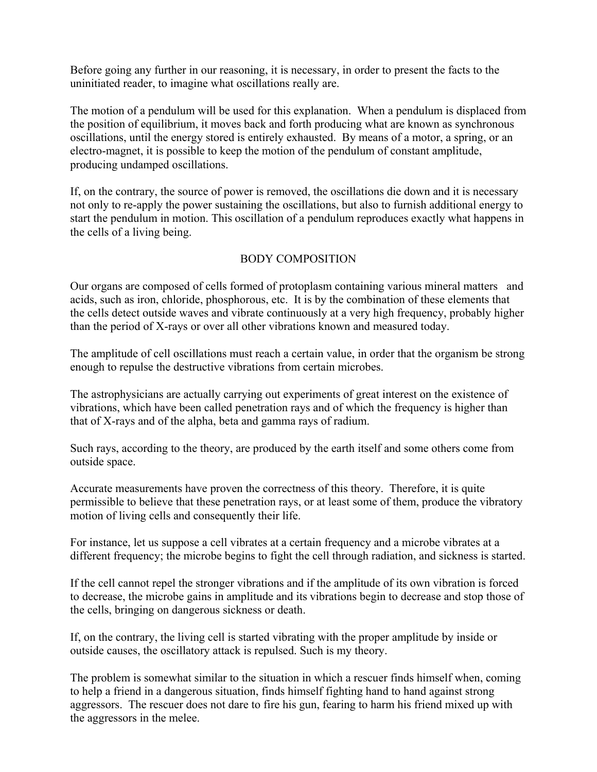Before going any further in our reasoning, it is necessary, in order to present the facts to the uninitiated reader, to imagine what oscillations really are.

The motion of a pendulum will be used for this explanation. When a pendulum is displaced from the position of equilibrium, it moves back and forth producing what are known as synchronous oscillations, until the energy stored is entirely exhausted. By means of a motor, a spring, or an electro-magnet, it is possible to keep the motion of the pendulum of constant amplitude, producing undamped oscillations.

If, on the contrary, the source of power is removed, the oscillations die down and it is necessary not only to re-apply the power sustaining the oscillations, but also to furnish additional energy to start the pendulum in motion. This oscillation of a pendulum reproduces exactly what happens in the cells of a living being.

## BODY COMPOSITION

Our organs are composed of cells formed of protoplasm containing various mineral matters and acids, such as iron, chloride, phosphorous, etc. It is by the combination of these elements that the cells detect outside waves and vibrate continuously at a very high frequency, probably higher than the period of X-rays or over all other vibrations known and measured today.

The amplitude of cell oscillations must reach a certain value, in order that the organism be strong enough to repulse the destructive vibrations from certain microbes.

The astrophysicians are actually carrying out experiments of great interest on the existence of vibrations, which have been called penetration rays and of which the frequency is higher than that of X-rays and of the alpha, beta and gamma rays of radium.

Such rays, according to the theory, are produced by the earth itself and some others come from outside space.

Accurate measurements have proven the correctness of this theory. Therefore, it is quite permissible to believe that these penetration rays, or at least some of them, produce the vibratory motion of living cells and consequently their life.

For instance, let us suppose a cell vibrates at a certain frequency and a microbe vibrates at a different frequency; the microbe begins to fight the cell through radiation, and sickness is started.

If the cell cannot repel the stronger vibrations and if the amplitude of its own vibration is forced to decrease, the microbe gains in amplitude and its vibrations begin to decrease and stop those of the cells, bringing on dangerous sickness or death.

If, on the contrary, the living cell is started vibrating with the proper amplitude by inside or outside causes, the oscillatory attack is repulsed. Such is my theory.

The problem is somewhat similar to the situation in which a rescuer finds himself when, coming to help a friend in a dangerous situation, finds himself fighting hand to hand against strong aggressors. The rescuer does not dare to fire his gun, fearing to harm his friend mixed up with the aggressors in the melee.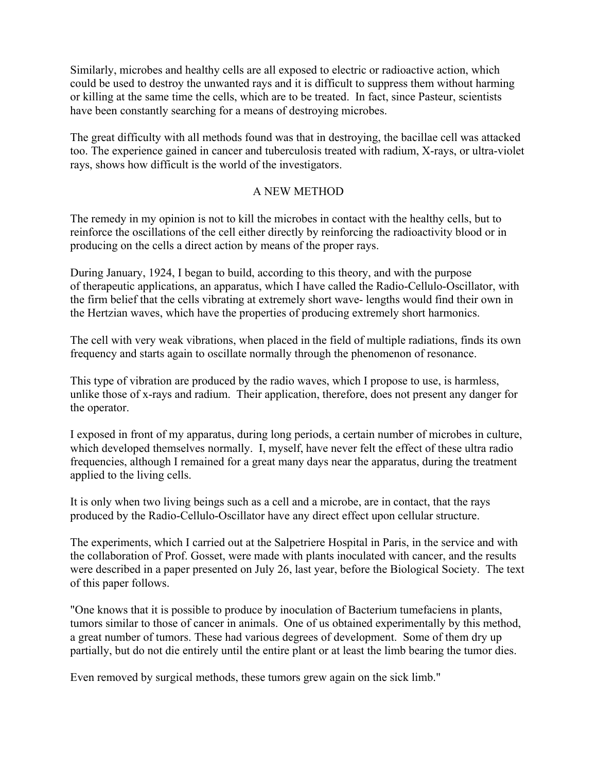Similarly, microbes and healthy cells are all exposed to electric or radioactive action, which could be used to destroy the unwanted rays and it is difficult to suppress them without harming or killing at the same time the cells, which are to be treated. In fact, since Pasteur, scientists have been constantly searching for a means of destroying microbes.

The great difficulty with all methods found was that in destroying, the bacillae cell was attacked too. The experience gained in cancer and tuberculosis treated with radium, X-rays, or ultra-violet rays, shows how difficult is the world of the investigators.

#### A NEW METHOD

The remedy in my opinion is not to kill the microbes in contact with the healthy cells, but to reinforce the oscillations of the cell either directly by reinforcing the radioactivity blood or in producing on the cells a direct action by means of the proper rays.

During January, 1924, I began to build, according to this theory, and with the purpose of therapeutic applications, an apparatus, which I have called the Radio-Cellulo-Oscillator, with the firm belief that the cells vibrating at extremely short wave- lengths would find their own in the Hertzian waves, which have the properties of producing extremely short harmonics.

The cell with very weak vibrations, when placed in the field of multiple radiations, finds its own frequency and starts again to oscillate normally through the phenomenon of resonance.

This type of vibration are produced by the radio waves, which I propose to use, is harmless, unlike those of x-rays and radium. Their application, therefore, does not present any danger for the operator.

I exposed in front of my apparatus, during long periods, a certain number of microbes in culture, which developed themselves normally. I, myself, have never felt the effect of these ultra radio frequencies, although I remained for a great many days near the apparatus, during the treatment applied to the living cells.

It is only when two living beings such as a cell and a microbe, are in contact, that the rays produced by the Radio-Cellulo-Oscillator have any direct effect upon cellular structure.

The experiments, which I carried out at the Salpetriere Hospital in Paris, in the service and with the collaboration of Prof. Gosset, were made with plants inoculated with cancer, and the results were described in a paper presented on July 26, last year, before the Biological Society. The text of this paper follows.

"One knows that it is possible to produce by inoculation of Bacterium tumefaciens in plants, tumors similar to those of cancer in animals. One of us obtained experimentally by this method, a great number of tumors. These had various degrees of development. Some of them dry up partially, but do not die entirely until the entire plant or at least the limb bearing the tumor dies.

Even removed by surgical methods, these tumors grew again on the sick limb."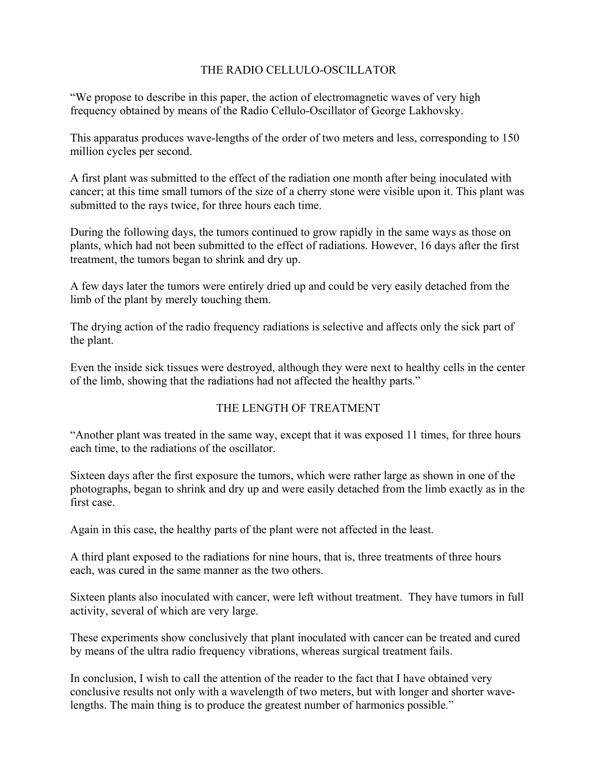# THE RADIO CELLULO-OSCILLATOR

"We propose to describe in this paper, the action of electromagnetic waves of very high frequency obtained by means of the Radio Cellulo-Oscillator of George Lakhovsky.

This apparatus produces wave-lengths of the order of two meters and less, corresponding to 150 million cycles per second.

A first plant was submitted to the effect of the radiation one month after being inoculated with cancer; at this time small tumors of the size of a cherry stone were visible upon it. This plant was submitted to the rays twice, for three hours each time.

During the following days, the tumors continued to grow rapidly in the same ways as those on plants, which had not been submitted to the effect of radiations. However, 16 days after the first treatment, the tumors began to shrink and dry up.

A few days later the tumors were entirely dried up and could be very easily detached from the limb of the plant by merely touching them.

The drying action of the radio frequency radiations is selective and affects only the sick part of the plant.

Even the inside sick tissues were destroyed, although they were next to healthy cells in the center of the limb, showing that the radiations had not affected the healthy parts."

## THE LENGTH OF TREATMENT

"Another plant was treated in the same way, except that it was exposed 11 times, for three hours each time, to the radiations of the oscillator.

Sixteen days after the first exposure the tumors, which were rather large as shown in one of the photographs, began to shrink and dry up and were easily detached from the limb exactly as in the first case.

Again in this case, the healthy parts of the plant were not affected in the least.

A third plant exposed to the radiations for nine hours, that is, three treatments of three hours each, was cured in the same manner as the two others.

Sixteen plants also inoculated with cancer, were left without treatment. They have tumors in full activity, several of which are very large.

These experiments show conclusively that plant inoculated with cancer can be treated and cured by means of the ultra radio frequency vibrations, whereas surgical treatment fails.

In conclusion, I wish to call the attention of the reader to the fact that I have obtained very conclusive results not only with a wavelength of two meters, but with longer and shorter wavelengths. The main thing is to produce the greatest number of harmonics possible."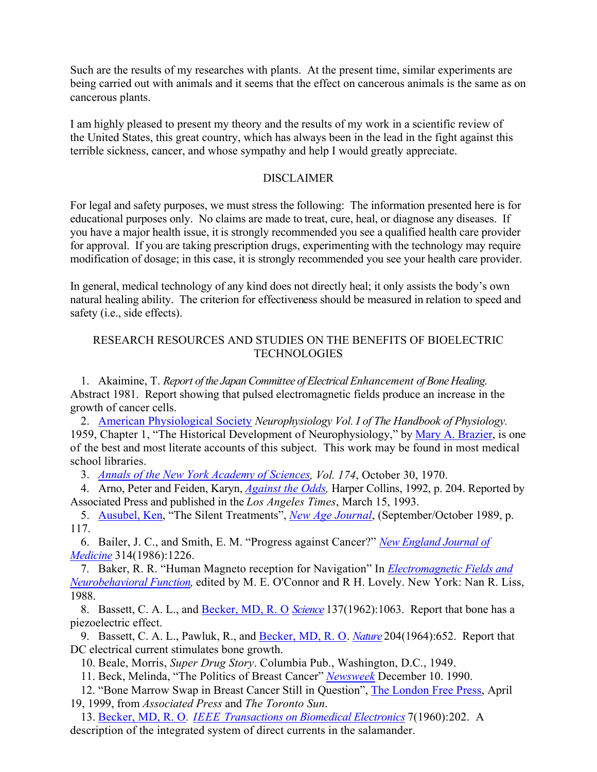Such are the results of my researches with plants. At the present time, similar experiments are being carried out with animals and it seems that the effect on cancerous animals is the same as on cancerous plants.

I am highly pleased to present my theory and the results of my work in a scientific review of the United States, this great country, which has always been in the lead in the fight against this terrible sickness, cancer, and whose sympathy and help I would greatly appreciate.

### DISCLAIMER

For legal and safety purposes, we must stress the following: The information presented here is for educational purposes only. No claims are made to treat, cure, heal, or diagnose any diseases. If you have a major health issue, it is strongly recommended you see a qualified health care provider for approval. If you are taking prescription drugs, experimenting with the technology may require modification of dosage; in this case, it is strongly recommended you see your health care provider.

In general, medical technology of any kind does not directly heal; it only assists the body's own natural healing ability. The criterion for effectiveness should be measured in relation to speed and safety (i.e., side effects).

## RESEARCH RESOURCES AND STUDIES ON THE BENEFITS OF BIOELECTRIC **TECHNOLOGIES**

1. Akaimine, T. *Report of the Japan Committee of Electrical Enhancement of Bone Healing*. Abstract 1981. Report showing that pulsed electromagnetic fields produce an increase in the growth of cancer cells.

2. [American Physiological Society](http://www.the-aps.org/index.htm) *Neurophysiology Vol. I of The Handbook of Physiology.*  1959, Chapter 1, "The Historical Development of Neurophysiology," by [Mary A. Brazier](http://www.amazon.com/exec/obidos/search-handle-url/index%3Dstripbooks%26field-keywords%3DMary%252520A.%252520Brazier%26store-name%3Dbooks/103-1898824-4075048), is one of the best and most literate accounts of this subject. This work may be found in most medical school libraries.

3. *[Annals of the New York Academy of Sciences](http://www.annalsnyas.org/), Vol. 174*, October 30, 1970.

4. Arno, Peter and Feiden, Karyn, *[Against the Odds](http://www.amazon.com/exec/obidos/tg/detail/-/0060923598/qid=1087061929/sr=1-1/ref=sr_1_1/103-1898824-4075048?v=glance&s=books),* Harper Collins, 1992, p. 204. Reported by Associated Press and published in the *Los Angeles Times*, March 15, 1993.

5. Ausubel, Ken, "The Silent Treatments", *[New Age Journal](http://www.newagejournal.com/)*, (September/October 1989, p. 117.

6. Bailer, J. C., and Smith, E. M. "Progress against Cancer?" *[New England Journal of](http://www.nejm.org/) [Medicine](http://www.nejm.org/)* 314(1986):1226.

7. Baker, R. R. "Human Magneto reception for Navigation" In *[Electromagnetic Fields and](http://www.amazon.com/exec/obidos/tg/detail/-/084515107X/qid=1087062595/sr=1-1/ref=sr_1_1/103-1898824-4075048?v=glance&s=books)  [Neurobehavioral Function,](http://www.amazon.com/exec/obidos/tg/detail/-/084515107X/qid=1087062595/sr=1-1/ref=sr_1_1/103-1898824-4075048?v=glance&s=books)* edited by M. E. O'Connor and R H. Lovely. New York: Nan R. Liss, 1988.

8. Bassett, C. A. L., and [Becker, MD, R. O](http://www.earthpulse.net/Becker.htm) *[Science](http://www.sciencemag.org/)* 137(1962):1063. Report that bone has a piezoelectric effect.

9. Bassett, C. A. L., Pawluk, R., and [Becker, MD, R. O](http://www.earthpulse.net/Becker.htm). *[Nature](http://www.nature.com/)* 204(1964):652. Report that DC electrical current stimulates bone growth.

10. Beale, Morris, *Super Drug Story*. Columbia Pub., Washington, D.C., 1949.

11. Beck, Melinda, "The Politics of Breast Cancer" *[Newsweek](http://www.msnbc.msn.com/id/3032542/site/newsweek)* December 10. 1990.

12. "Bone Marrow Swap in Breast Cancer Still in Question", [The London Free Press](http://www.lfpress.com/), April 19, 1999, from *Associated Press* and *The Toronto Sun*.

13. [Becker, MD, R. O](http://www.earthpulse.net/Becker.htm)*. [IEEE Transactions on Biomedical Electronics](http://www.ieee.org/portal/index.jsp?pageID=corp_level1&path=pubs/transactions&file=index.xml&xsl=generic.xsl)* 7(1960):202. A description of the integrated system of direct currents in the salamander.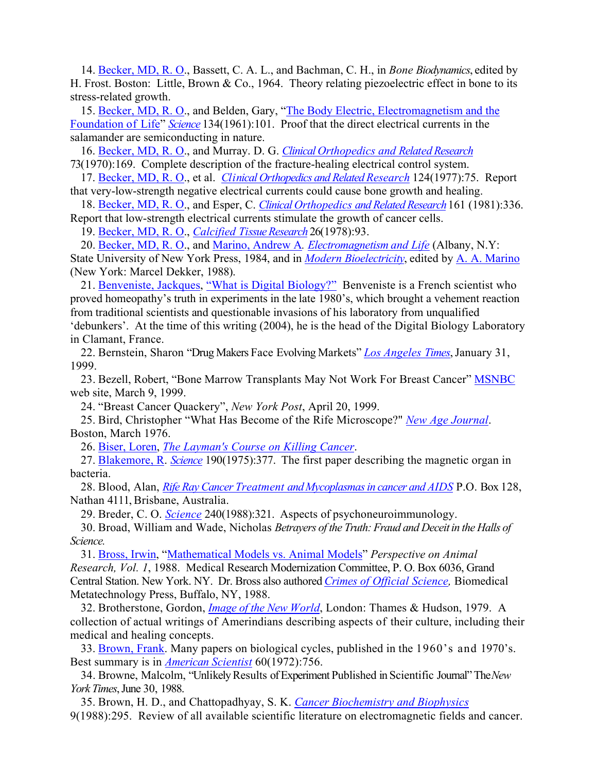14. [Becker, MD, R. O.](http://www.earthpulse.net/Becker.htm), Bassett, C. A. L., and Bachman, C. H., in *Bone Biodynamics*, edited by H. Frost. Boston: Little, Brown & Co., 1964. Theory relating piezoelectric effect in bone to its stress-related growth.

15. [Becker, MD, R. O.](http://www.earthpulse.net/Becker.htm), and Belden, Gary, ["The Body Electric, Electromagnetism and the](http://www.amazon.com/exec/obidos/tg/detail/-/0688069711/103-1898824-4075048?v=glance)  [Foundation of Life](http://www.amazon.com/exec/obidos/tg/detail/-/0688069711/103-1898824-4075048?v=glance)" *[Science](http://www.sciencemag.org/)* 134(1961):101. Proof that the direct electrical currents in the salamander are semiconducting in nature.

16. [Becker, MD, R. O.](http://www.earthpulse.net/Becker.htm), and Murray. D. G. *[Clinical Orthopedics and Related Research](http://www.corronline.com/pt/re/corr/home.htm;jsessionid=ALbjNW1zubQQ62AwL1GApEHImgZc0GXEDqwNCG1Db1YsN1CXa6vQ!1032750822!-949856031!9001!-1)* 73(1970):169. Complete description of the fracture-healing electrical control system.

17. [Becker, MD, R. O.](http://www.earthpulse.net/Becker.htm), et al. *[Clinical Orthopedics and Related Research](http://www.corronline.com/pt/re/corr/home.htm;jsessionid=ALbjNW1zubQQ62AwL1GApEHImgZc0GXEDqwNCG1Db1YsN1CXa6vQ!1032750822!-949856031!9001!-1)* 124(1977):75. Report that very-low-strength negative electrical currents could cause bone growth and healing.

18. [Becker, MD, R. O.](http://www.earthpulse.net/Becker.htm), and Esper, C. *[Clinical Orthopedics and Related Research](http://www.corronline.com/pt/re/corr/home.htm;jsessionid=ALbjNW1zubQQ62AwL1GApEHImgZc0GXEDqwNCG1Db1YsN1CXa6vQ!1032750822!-949856031!9001!-1)* 161 (1981):336. Report that low-strength electrical currents stimulate the growth of cancer cells.

19. [Becker, MD, R. O.](http://www.earthpulse.net/Becker.htm), *[Calcified Tissue Research](http://www.springeronline.com/sgw/cda/frontpage/0,10735,5-10030-70-1025624-0,00.html)* 26(1978):93.

20. [Becker, MD, R. O.](http://www.earthpulse.net/Becker.htm), and [Marino, Andrew A](http://www.ortho.lsumc.edu/Faculty/Marino/Marino.html)*. [Electromagnetism and Life](http://www.books-on-line.com/bol/BookDisplay.cfm?BookNum=12260)* (Albany, N.Y:

State University of New York Press, 1984, and in *[Modern Bioelectricity](http://www.ortho.lsumc.edu/Faculty/Marino/ModBio/MBtitle.pdf)*, edited by [A. A. Marino](http://www.ortho.lsumc.edu/Faculty/Marino/Marino.html) (New York: Marcel Dekker, 1988).

21. [Benveniste, Jackques](http://www.digibio.com/), ["What is Digital Biology?"](http://www.digibio.com/cgi-bin/node.pl?nd=n3) Benveniste is a French scientist who proved homeopathy's truth in experiments in the late 1980's, which brought a vehement reaction from traditional scientists and questionable invasions of his laboratory from unqualified 'debunkers'. At the time of this writing (2004), he is the head of the Digital Biology Laboratory in Clamant, France.

22. Bernstein, Sharon "Drug Makers Face Evolving Markets" *[Los Angeles Times](http://www.latimes.com/)*, January 31, 1999.

23. Bezell, Robert, "Bone Marrow Transplants May Not Work For Breast Cancer" [MSNBC](http://www.msnbc.com/) web site, March 9, 1999.

24. "Breast Cancer Quackery", *New York Post*, April 20, 1999.

25. Bird, Christopher "What Has Become of the Rife Microscope?" *[New Age Journal](http://www.newagejournal.com/)*. Boston, March 1976.

26. [Biser, Loren,](http://www.healthreport.net/) *[The Layman's Course on Killing Cancer](http://theherbfinder.com/lckc/start.html)*.

27. [Blakemore, R.](http://www.firstscience.com/SITE/factfile/factfile2541_2560.asp) *[Science](http://www.sciencemag.org/)* 190(1975):377. The first paper describing the magnetic organ in bacteria.

28. Blood, Alan, *[Rife Ray Cancer Treatment and Mycoplasmas in cancer and AIDS](http://www.home.earthlink.net/~vibrnthealth/Misc/AlanBloodArticle1.htm)* P.O. Box 128, Nathan 4111, Brisbane, Australia.

29. Breder, C. O. *[Science](http://www.sciencemag.org/)* 240(1988):321. Aspects of psychoneuroimmunology.

30. Broad, William and Wade, Nicholas *Betrayers of the Truth: Fraud and Deceit in the Halls of Science.*

31. [Bross, Irwin](http://www.genealogy.ams.org/html/id.phtml?id=52551), "Mathematical Models vs. Animal Models" *Perspective on Animal Research, Vol. 1*, 1988. Medical Research Modernization Committee, P. O. Box 6036, Grand Central Station. New York. NY. Dr. Bross also authored *[Crimes of Official Science,](http://www.amazon.com/exec/obidos/tg/detail/-/0317923080/qid=1087072751/sr=1-1/ref=sr_1_1/103-1898824-4075048?v=glance&s=books)* Biomedical Metatechnology Press, Buffalo, NY, 1988.

32. Brotherstone, Gordon, *[Image of the New World](http://www.amazon.com/exec/obidos/tg/detail/-/0500272328/qid=1087072827/sr=1-3/ref=sr_1_3/103-1898824-4075048?v=glance&s=books)*, London: Thames & Hudson, 1979. A collection of actual writings of Amerindians describing aspects of their culture, including their medical and healing concepts.

33. Brown, Frank. Many papers on biological cycles, published in the 1960's and 1970's. Best summary is in *[American Scientist](http://www.americanscientist.org/amsci/amsci.html)* 60(1972):756.

34. Browne, Malcolm, "Unlikely Results of Experiment Published in Scientific Journal" The *New York Times*, June 30, 1988.

35. Brown, H. D., and Chattopadhyay, S. K. *[Cancer Biochemistry and Biophysics](http://www.periodicals.com/stock_e%5Cc/ttl52426.html)* 9(1988):295. Review of all available scientific literature on electromagnetic fields and cancer.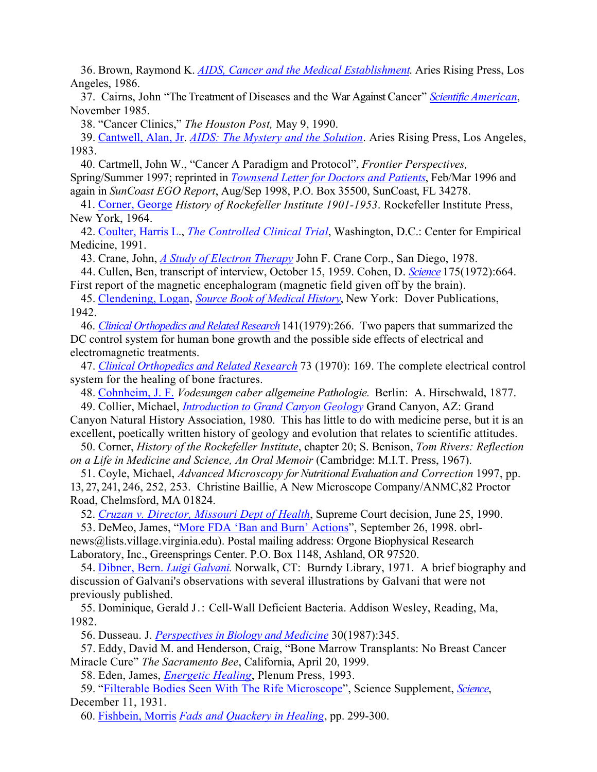36. Brown, Raymond K. *[AIDS, Cancer and the Medical Establishment](http://www.amazon.com/exec/obidos/tg/detail/-/0831501960/qid=1087076140/sr=1-1/ref=sr_1_1/103-1898824-4075048?v=glance&s=books)*. Aries Rising Press, Los Angeles, 1986.

37. Cairns, John "The Treatment of Diseases and the War Against Cancer" *[Scientific American](http://www.sciam.com/)*, November 1985.

38. "Cancer Clinics," *The Houston Post,* May 9, 1990.

39. Cantwell, Alan, Jr. *[AIDS: The Mystery and the Solution](http://www.amazon.com/exec/obidos/tg/detail/-/0917211081/qid=1087079947/sr=1-1/ref=sr_1_1/102-6433619-9522534?v=glance&s=books)*. Aries Rising Press, Los Angeles, 1983.

40. Cartmell, John W., "Cancer A Paradigm and Protocol", *Frontier Perspectives,* Spring/Summer 1997; reprinted in *[Townsend Letter for Doctors and Patients](http://www.tldp.com/)*, Feb/Mar 1996 and again in *SunCoast EGO Report*, Aug/Sep 1998, P.O. Box 35500, SunCoast, FL 34278.

41. Corner, George *History of Rockefeller Institute 1901-1953*. Rockefeller Institute Press, New York, 1964.

42. Coulter, Harris L., *[The Controlled Clinical Trial](http://www.amazon.com/exec/obidos/tg/detail/-/091638604X/qid=1087080923/sr=1-8/ref=sr_1_8/103-9202178-0681446?v=glance&s=books)*, Washington, D.C.: Center for Empirical Medicine, 1991.

43. Crane, John, *[A Study of Electron Therapy](http://www.rife.org/crane/cranetherapy1.html)* John F. Crane Corp., San Diego, 1978.

44. Cullen, Ben, transcript of interview, October 15, 1959. Cohen, D. *[Science](http://www.sciencemag.org/)* 175(1972):664.

First report of the magnetic encephalogram (magnetic field given off by the brain).

45. [Clendening, Logan](http://clendening.kumc.edu/lc.html), *[Source Book of Medical History](http://www.amazon.com/exec/obidos/tg/detail/-/0486206211/qid=1087084436/sr=1-7/ref=sr_1_7/103-9202178-0681446?v=glance&s=books)*, New York: Dover Publications, 1942.

46. *[Clinical Orthopedics and Related Research](http://www.corronline.com/pt/re/corr/home.htm;jsessionid=AL8BK1L9jhXI14AzjJavjt9uBFPlCue7nKGVnRV3iGczJBNsTaEQ!1032750822!-949856031!9001!-1)* 141(1979):266. Two papers that summarized the DC control system for human bone growth and the possible side effects of electrical and electromagnetic treatments.

47. *[Clinical Orthopedics and Related Research](http://www.corronline.com/pt/re/corr/home.htm;jsessionid=AL8BK1L9jhXI14AzjJavjt9uBFPlCue7nKGVnRV3iGczJBNsTaEQ!1032750822!-949856031!9001!-1)* 73 (1970): 169. The complete electrical control system for the healing of bone fractures.

48. [Cohnheim, J. F.](http://www.britannica.com/eb/article?eu=25076) *Vodesungen caber allgemeine Pathologie.* Berlin: A. Hirschwald, 1877.

49. Collier, Michael, *[Introduction to Grand Canyon Geology](http://www.amazon.com/exec/obidos/tg/detail/-/093821604X/002-8853821-3450418?v=glance)* Grand Canyon, AZ: Grand Canyon Natural History Association, 1980. This has little to do with medicine perse, but it is an excellent, poetically written history of geology and evolution that relates to scientific attitudes.

50. Corner, *History of the Rockefeller Institute*, chapter 20; S. Benison, *Tom Rivers: Reflection on a Life in Medicine and Science, An Oral Memoir* (Cambridge: M.I.T. Press, 1967).

51. Coyle, Michael, *Advanced Microscopy for Nutritional Evaluation and Correction* 1997, pp. 13, 27, 241, 246, 252, 253. Christine Baillie, A New Microscope Company/ANMC,82 Proctor Road, Chelmsford, MA 01824.

52. *[Cruzan v. Director, Missouri Dept of Health](http://www.oyez.org/oyez/resource/case/91)*, Supreme Court decision, June 25, 1990.

53. DeMeo, James, "[More FDA 'Ban and Burn' Actions"](http://www.oralchelation.com/taheebo/foottah/drjames.htm), September 26, 1998. obrlnews@lists.village.virginia.edu). Postal mailing address: Orgone Biophysical Research Laboratory, Inc., Greensprings Center. P.O. Box 1148, Ashland, OR 97520.

54. [Dibner, Bern.](http://www.refdesk.com/) *Luigi Galvani.* Norwalk, CT: Burndy Library, 1971. A brief biography and discussion of Galvani's observations with several illustrations by Galvani that were not previously published.

55. Dominique, Gerald J.: Cell-Wall Deficient Bacteria. Addison Wesley, Reading, Ma, 1982.

56. Dusseau. J. *[Perspectives in Biology and Medicine](http://muse.jhu.edu/journals/pbm)* 30(1987):345.

57. Eddy, David M. and Henderson, Craig, "Bone Marrow Transplants: No Breast Cancer Miracle Cure" *The Sacramento Bee*, California, April 20, 1999.

58. Eden, James, *[Energetic Healing](http://www.amazon.com/exec/obidos/tg/detail/-/0306444631/qid=1087095357/sr=1-1/ref=sr_1_1/102-1986644-8409721?v=glance&s=books)*, Plenum Press, 1993.

59. "Filterable Bodies Seen With The Rife Microscope", Science Supplement, *[Science](http://www.sciencemag.org/)*, December 11, 1931.

60. Fishbein, Morris *[Fads and Quackery in Healing](http://www.amazon.com/exec/obidos/tg/detail/-/040413260X/qid=1087100123/sr=1-1/ref=sr_1_1/102-1986644-8409721?v=glance&s=books)*, pp. 299-300.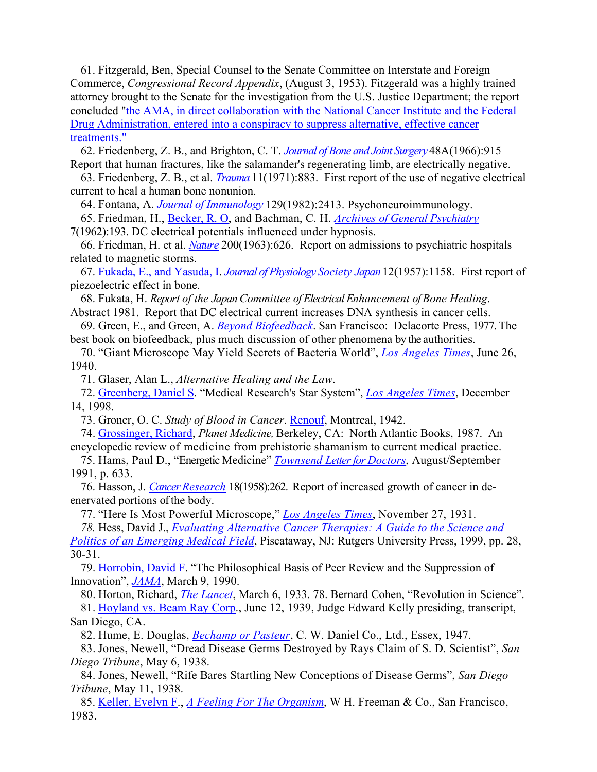61. Fitzgerald, Ben, Special Counsel to the Senate Committee on Interstate and Foreign Commerce, *Congressional Record Appendix*, (August 3, 1953). Fitzgerald was a highly trained attorney brought to the Senate for the investigation from the U.S. Justice Department; the report concluded ["the AMA, in direct collaboration with the National Cancer Institute and the Federal](http://www.relfe.com/history_2.html)  [Drug Administration, entered into a conspiracy to suppress alternative, effective cancer](http://www.relfe.com/history_2.html)  [treatments."](http://www.relfe.com/history_2.html)

62. Friedenberg, Z. B., and Brighton, C. T. *[Journal of Bone and Joint Surgery](http://www.ejbjs.org/)* 48A(1966):915 Report that human fractures, like the salamander's regenerating limb, are electrically negative.

63. Friedenberg, Z. B., et al. *[Trauma](http://www.jtrauma.com/pt/re/jtrauma/home.htm;jsessionid=AOvAouUgTBA1pTSihW358r4sJXFWcmpjASTG11BYSsXVljaJ8yFC!-1259038943!-949856032!9001!-1)* 11(1971):883. First report of the use of negative electrical current to heal a human bone nonunion.

64. Fontana, A. *[Journal of Immunology](http://www.jimmunol.org/)* 129(1982):2413. Psychoneuroimmunology.

65. Friedman, H., [Becker, R. O](http://www.earthpulse.net/Becker.htm), and Bachman, C. H. *[Archives of General Psychiatry](http://archpsyc.ama-assn.org/)*

7(1962):193. DC electrical potentials influenced under hypnosis.

66. Friedman, H. et al. *[Nature](http://www.nature.com/)* 200(1963):626. Report on admissions to psychiatric hospitals related to magnetic storms.

67. [Fukada, E., and Yasuda, I.](http://www.ndt.net/article/yosi/yosi.htm) *[Journal of Physiology Society Japan](http://wwwsoc.nii.ac.jp/psj/index-e.html)* 12(1957):1158. First report of piezoelectric effect in bone.

68. Fukata, H. *Report of the Japan Committee of Electrical Enhancement of Bone Healing*. Abstract 1981. Report that DC electrical current increases DNA synthesis in cancer cells.

69. Green, E., and Green, A. *[Beyond Biofeedback](http://www.amazon.com/exec/obidos/ASIN/0440005833/qid=1087271779/sr=ka-1/ref=pd_ka_1/102-6157924-3936932)*. San Francisco: Delacorte Press, 1977. The best book on biofeedback, plus much discussion of other phenomena by the authorities.

70. "Giant Microscope May Yield Secrets of Bacteria World", *[Los Angeles Times](http://www.latimes.com/)*, June 26, 1940.

71. Glaser, Alan L., *Alternative Healing and the Law*.

72. Greenberg, Daniel S. "Medical Research's Star System", *[Los Angeles Times](http://www.latimes.com/)*, December 14, 1998.

73. Groner, O. C. *Study of Blood in Cancer*. [Renouf,](http://www.renoufbooks.com/) Montreal, 1942.

74. Grossinger, Richard, *Planet Medicine,* Berkeley, CA: North Atlantic Books, 1987. An encyclopedic review of medicine from prehistoric shamanism to current medical practice.

75. Hams, Paul D., "Energetic Medicine" *[Townsend Letter for Doctors](http://www.tldp.com/)*, August/September 1991, p. 633.

76. Hasson, J. *[Cancer Research](http://cancerres.aacrjournals.org/)* 18(1958):262. Report of increased growth of cancer in deenervated portions of the body.

77. "Here Is Most Powerful Microscope," *[Los Angeles Times](http://www.latimes.com/)*, November 27, 1931.

*78.* Hess, David J., *[Evaluating Alternative Cancer Therapies: A Guide to the Science and](http://www.amazon.com/exec/obidos/tg/detail/-/0813525942/102-6157924-3936932?v=glance)* 

*[Politics of an Emerging Medical Field](http://www.amazon.com/exec/obidos/tg/detail/-/0813525942/102-6157924-3936932?v=glance)*, Piscataway, NJ: Rutgers University Press, 1999, pp. 28, 30-31.

79. Horrobin, David F. "The Philosophical Basis of Peer Review and the Suppression of Innovation", *[JAMA](http://jama.ama-assn.org/)*, March 9, 1990.

80. Horton, Richard, *[The Lancet](http://www.thelancet.com/)*, March 6, 1933. 78. Bernard Cohen, "Revolution in Science". 81. [Hoyland vs. Beam Ray Corp.](http://www.ourlifehouse.com/downloads/synopsisfid.pdf), June 12, 1939, Judge Edward Kelly presiding, transcript,

San Diego, CA.

82. Hume, E. Douglas, *[Bechamp or Pasteur](http://www.amazon.com/exec/obidos/tg/detail/-/1564599272/qid=1087273977/sr=1-1/ref=sr_1_1/102-6157924-3936932?v=glance&s=books)*, C. W. Daniel Co., Ltd., Essex, 1947.

83. Jones, Newell, "Dread Disease Germs Destroyed by Rays Claim of S. D. Scientist", *San Diego Tribune*, May 6, 1938.

84. Jones, Newell, "Rife Bares Startling New Conceptions of Disease Germs", *San Diego Tribune*, May 11, 1938.

85. Keller, Evelyn F., *[A Feeling For The Organism](http://www.amazon.com/exec/obidos/tg/detail/-/071671504X/102-6157924-3936932?v=glance)*, W H. Freeman & Co., San Francisco, 1983.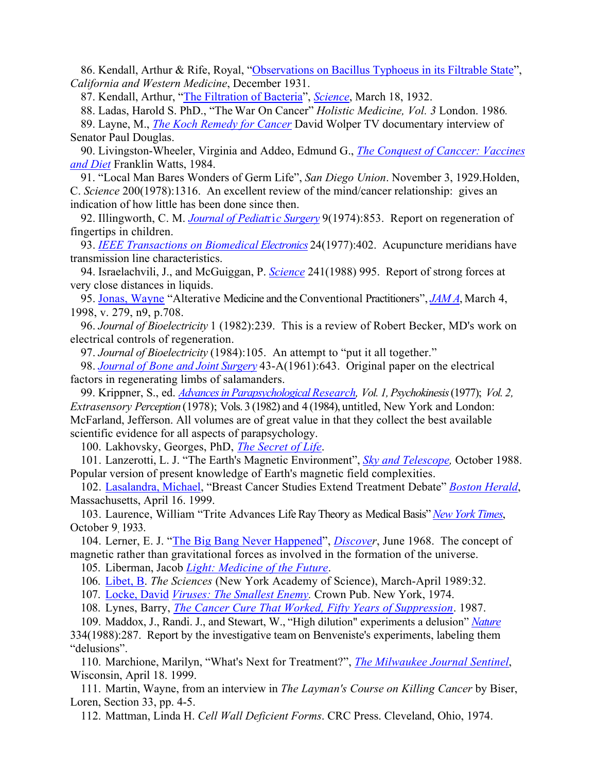86. Kendall, Arthur & Rife, Royal, "[Observations on Bacillus Typhoeus in its Filtrable State](http://www.rife.org/otherresearch/c&wmagazine.html)", *California and Western Medicine*, December 1931.

87. Kendall, Arthur, ["The Filtration of Bacteria"](http://www.rife.org/magazine/mayclinic.html), *[Science](http://www.sciencemag.org/)*, March 18, 1932.

88. Ladas, Harold S. PhD., "The War On Cancer" *Holistic Medicine, Vol. 3* London. 1986*.*

89. Layne, M., *[The Koch Remedy for Cancer](http://www.minimum.com/b.asp?a=koch-remedy)* David Wolper TV documentary interview of Senator Paul Douglas.

90. Livingston-Wheeler, Virginia and Addeo, Edmund G., *[The Conquest of Canccer: Vaccines](http://www.amazon.com/exec/obidos/tg/detail/-/0531098060/qid=1087353102/sr=1-1/ref=sr_1_1/002-8745830-4190440?v=glance&s=books)  [and Diet](http://www.amazon.com/exec/obidos/tg/detail/-/0531098060/qid=1087353102/sr=1-1/ref=sr_1_1/002-8745830-4190440?v=glance&s=books)* Franklin Watts, 1984.

91. "Local Man Bares Wonders of Germ Life", *San Diego Union*. November 3, 1929.Holden, C. *Science* 200(1978):1316. An excellent review of the mind/cancer relationship: gives an indication of how little has been done since then.

92. Illingworth, C. M. *[Journal of Pediat](http://www2.jpedsurg.org/scripts/om.dll/serve?action=searchDB&searchDBfor=home&id=jpsu)*ri*c Surgery* 9(1974):853. Report on regeneration of fingertips in children.

93. *[IEEE Transactions on Biomedical Electronics](http://ieeexplore.ieee.org/xpl/periodicals.jsp?letter=B&type=0)* 24(1977):402. Acupuncture meridians have transmission line characteristics.

94. Israelachvili, J., and McGuiggan, P. *[Science](http://www.sciencemag.org/)* 241(1988) 995. Report of strong forces at very close distances in liquids.

95. Jonas, Wayne "Alterative Medicine and the Conventional Practitioners", *[JAM A](http://jama.ama-assn.org/)*, March 4, 1998, v. 279, n9, p.708.

96. *Journal of Bioelectricity* 1 (1982):239. This is a review of Robert Becker, MD's work on electrical controls of regeneration.

97. *Journal of Bioelectricity* (1984):105. An attempt to "put it all together."

98. *[Journal of Bone and Joint Surgery](http://www.ejbjs.org/misc/public/instrux.shtml)* 43-A(1961):643. Original paper on the electrical factors in regenerating limbs of salamanders.

99. Krippner, S., ed. *[Advances in Parapsychological Research](http://www.amazon.com/exec/obidos/tg/detail/-/0306325012/qid=1087353761/sr=1-1/ref=sr_1_1/002-1230883-4274427?v=glance&s=books), Vol. 1, Psychokinesis* (1977); *Vol. 2, Extrasensory Perception* (1978); Vols. 3 (1982) and 4 (1984), untitled, New York and London: McFarland, Jefferson. All volumes are of great value in that they collect the best available scientific evidence for all aspects of parapsychology.

100. Lakhovsky, Georges, PhD, *[The Secret of Life](http://www.amazon.com/exec/obidos/tg/detail/-/0766141977/qid=1087353868/sr=1-1/ref=sr_1_1/002-1230883-4274427?v=glance&s=books)*.

101. Lanzerotti, L. J. "The Earth's Magnetic Environment", *[Sky and Telescope](http://skyandtelescope.com/),* October 1988. Popular version of present knowledge of Earth's magnetic field complexities.

102. Lasalandra, Michael, "Breast Cancer Studies Extend Treatment Debate" *[Boston Herald](http://news.bostonherald.com/)*, Massachusetts, April 16. 1999.

103. Laurence, William "Trite Advances Life Ray Theory as Medical Basis" *[New York Times](http://www.nytimes.com/)*, October 9, 1933.

104. Lerner, E. J. "[The Big Bang Never Happened"](http://www.amazon.com/exec/obidos/tg/detail/-/067974049X/qid=1087358161/sr=1-1/ref=sr_1_1/102-8694865-9843355?v=glance&s=books), *[Discover](http://www.discover.com/)*, June 1968. The concept of magnetic rather than gravitational forces as involved in the formation of the universe.

105. Liberman, Jacob *[Light: Medicine of the Future](http://www.amazon.com/exec/obidos/tg/detail/-/1879181010/104-0325936-0354332?v=glance)*.

106. Libet, B. *The Sciences* (New York Academy of Science), March-April 1989:32.

107. Locke, David *[Viruses: The Smallest Enemy.](http://www.amazon.com/exec/obidos/tg/detail/-/0517514850/qid=1087358608/sr=1-1/ref=sr_1_1/103-8653556-5196662?v=glance&s=books)* Crown Pub. New York, 1974.

108. Lynes, Barry, *[The Cancer Cure That Worked, Fifty Years of Suppression](http://www.ftrbooks.net/health/cancer/cure_that_worked.htm)*. 1987.

109. Maddox, J., Randi. J., and Stewart, W., "High dilution" experiments a delusion" *[Nature](http://www.nature.com/)* 334(1988):287. Report by the investigative team on Benveniste's experiments, labeling them "delusions".

110. Marchione, Marilyn, "What's Next for Treatment?", *[The Milwaukee Journal Sentinel](http://www.jsonline.com/)*, Wisconsin, April 18. 1999.

111. Martin, Wayne, from an interview in *The Layman's Course on Killing Cancer* by Biser, Loren, Section 33, pp. 4-5.

112. Mattman, Linda H. *Cell Wall Deficient Forms*. CRC Press. Cleveland, Ohio, 1974.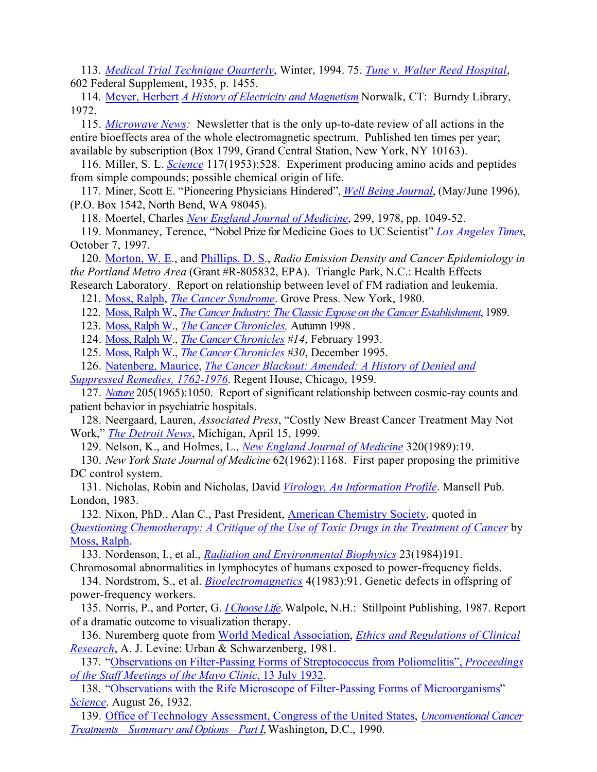113. *[Medical Trial Technique Quarterly](http://west.thomson.com/store/product.asp?product_id=13515893&cookie%5Ftest=1)*, Winter, 1994. 75. *[Tune v. Walter Reed Hospital](http://www.wramc.amedd.army.mil/departments/Judge/dnr.htm)*, 602 Federal Supplement, 1935, p. 1455.

114. Meyer, Herbert *[A History of Electricity and Magnetism](http://www.amazon.com/exec/obidos/ASIN/026213070X/qid%3D1087359957/sr%3D11-1/ref%3Dsr%5F11%5F1/104-3154382-1923131)* Norwalk, CT: Burndy Library, 1972.

115. *[Microwave News](http://www.microwavenews.com/):* Newsletter that is the only up-to-date review of all actions in the entire bioeffects area of the whole electromagnetic spectrum. Published ten times per year; available by subscription (Box 1799, Grand Central Station, New York, NY 10163).

116. Miller, S. L. *[Science](http://www.sciencemag.org/)* 117(1953);528. Experiment producing amino acids and peptides from simple compounds; possible chemical origin of life.

117. Miner, Scott E. "Pioneering Physicians Hindered", *[Well Being Journal](http://www.wellbeingjournal.com/)*, (May/June 1996), (P.O. Box 1542, North Bend, WA 98045).

118. Moertel, Charles *[New England Journal of Medicine](http://content.nejm.org/)*, 299, 1978, pp. 1049-52.

119. Monmaney, Terence, "Nobel Prize for Medicine Goes to UC Scientist" *[Los Angeles Times](http://www.latimes.com/)*, October 7, 1997.

120. [Morton, W. E.](http://www.ohsu.edu/academic/public-health/employees/faculty/morton.html), and [Phillips. D. S](http://www.ohsu.edu/behneuro/Faculty/DPhillips.html)., *Radio Emission Density and Cancer Epidemiology in the Portland Metro Area* (Grant #R-805832, EPA). Triangle Park, N.C.: Health Effects

Research Laboratory. Report on relationship between level of FM radiation and leukemia. 121. Moss, Ralph, *[The Cancer Syndrome](http://www.amazon.com/exec/obidos/tg/detail/-/0802101879/qid=1087360421/sr=1-1/ref=sr_1_1/104-3154382-1923131?v=glance&s=books)*. Grove Press. New York, 1980.

122. Moss, Ralph W., *[The Cancer Industry: The Classic Expose on the Cancer Establishment](http://www.amazon.com/exec/obidos/tg/detail/-/1881025098/qid=1087360449/sr=1-5/ref=sr_1_5/104-3154382-1923131?v=glance&s=books)*, 1989.

123. Moss, Ralph W., *[The Cancer Chronicles](http://ralphmoss.com/),* Autumn 1998 .

124. Moss, Ralph W., *[The Cancer Chronicles](http://ralphmoss.com/) #14*, February 1993.

125. Moss, Ralph W., *[The Cancer Chronicles](http://ralphmoss.com/) #30*, December 1995.

126. Natenberg, Maurice, *[The Cancer Blackout: Amended: A History of Denied and](http://www.amazon.com/exec/obidos/tg/detail/-/0911238565/qid=1087360696/sr=1-1/ref=sr_1_1/104-3154382-1923131?v=glance&s=books)* 

*[Suppressed Remedies, 1762-1976](http://www.amazon.com/exec/obidos/tg/detail/-/0911238565/qid=1087360696/sr=1-1/ref=sr_1_1/104-3154382-1923131?v=glance&s=books)*. Regent House, Chicago, 1959.

127. *[Nature](http://www.nature.com/)* 205(1965):1050. Report of significant relationship between cosmic-ray counts and patient behavior in psychiatric hospitals.

128. Neergaard, Lauren, *Associated Press*, "Costly New Breast Cancer Treatment May Not Work," *[The Detroit News](http://www.detnews.com/)*, Michigan, April 15, 1999.

129. Nelson, K., and Holmes, L., *[New England Journal of Medicine](http://content.nejm.org/)* 320(1989):19.

130. *New York State Journal of Medicine* 62(1962):1168. First paper proposing the primitive DC control system.

131. Nicholas, Robin and Nicholas, David *[Virology, An Information Profile](http://www.amazon.com/exec/obidos/ASIN/0720116732/qid%3D1087361022/sr%3D11-1/ref%3Dsr%5F11%5F1/104-3154382-1923131)*. Mansell Pub. London, 1983.

132. Nixon, PhD., Alan C., Past President, [American Chemistry Society](http://www.acs.org/), quoted in *[Questioning Chemotherapy: A Critique of the Use of Toxic Drugs in the Treatment of Cancer](http://www.amazon.com/exec/obidos/search-handle-url/index%3Dbooks%26field-keywords%3DQuestioning%252520Chemotherapy%26store-name%3Dbooks/104-3154382-1923131)* by Moss, Ralph.

133. Nordenson, I., et al., *[Radiation and Environmental Biophysics](http://www.environmental-center.com/magazine/springer/00411)* 23(1984)191.

Chromosomal abnormalities in lymphocytes of humans exposed to power-frequency fields.

134. Nordstrom, S., et al. *[Bioelectromagnetics](http://www.bioelectromagnetics.org/pubs.php?PHPSESSID=3a743e5276ca6a906d39a6520b7a3e8a)* 4(1983):91. Genetic defects in offspring of power-frequency workers.

135. Norris, P., and Porter, G. *[I Choose Life](http://www.amazon.com/exec/obidos/tg/detail/-/091329943X/qid=1087402672/sr=1-1/ref=sr_1_1/104-2468913-2913510?v=glance&s=books)*. Walpole, N.H.: Stillpoint Publishing, 1987. Report of a dramatic outcome to visualization therapy.

136. Nuremberg quote from [World Medical Association,](http://www.wma.net/) *[Ethics and Regulations of Clinical](http://www.wma.net/e/ethicsunit/helsinki.htm)  [Research](http://www.wma.net/e/ethicsunit/helsinki.htm)*, A. J. Levine: Urban & Schwarzenberg, 1981.

137. ["Observations on Filter-Passing Forms of Streptococcus from Poliomelitis",](http://www.rife.org/magazine/mayclinic.html) *Proceedings [of the Staff Meetings of the Mayo Clinic](http://www.rife.org/magazine/mayclinic.html)*, 13 July 1932.

138. ["Observations with the Rife Microscope of Filter-Passing Forms of Microorganisms"](http://www.rife.org/magazine/smithsonian.html) *[Science](http://www.sciencemag.org/)*. August 26, 1932.

139. [Office of Technology Assessment, Congress of the United States,](http://www.wws.princeton.edu/~ota) *[Unconventional Cancer](http://www.quackwatch.org/01QuackeryRelatedTopics/OTA/ota00.html)  [Treatments – Summary and Options – Part I](http://www.quackwatch.org/01QuackeryRelatedTopics/OTA/ota00.html)*, Washington, D.C., 1990.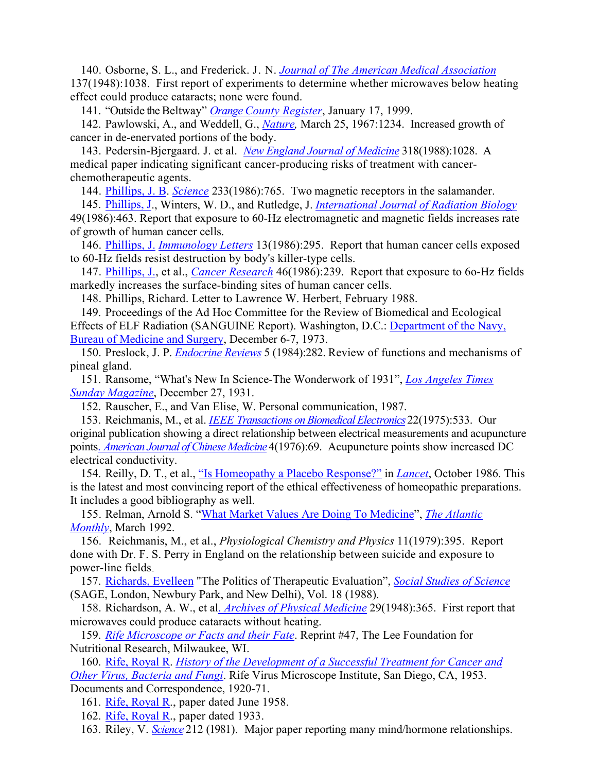140. Osborne, S. L., and Frederick. J. N. *[Journal of The American Medical Association](http://jama.ama-assn.org/)* 137(1948):1038. First report of experiments to determine whether microwaves below heating effect could produce cataracts; none were found.

141. "Outside the Beltway" *[Orange County Register](http://www2.ocregister.com/ocrweb/ocr/homepage.do)*, January 17, 1999.

142. Pawlowski, A., and Weddell, G., *[Nature](http://www.nature.com/),* March 25, 1967:1234. Increased growth of cancer in de-enervated portions of the body.

143. Pedersin-Bjergaard. J. et al. *[New England Journal of Medicine](http://content.nejm.org/)* 318(1988):1028. A medical paper indicating significant cancer-producing risks of treatment with cancerchemotherapeutic agents.

144. [Phillips, J. B.](http://www.indiana.edu/~animal/research/phillips_cv.html) *[Science](http://www.sciencemag.org/)* 233(1986):765. Two magnetic receptors in the salamander.

145. [Phillips, J](http://www.indiana.edu/~animal/research/phillips_cv.html)., Winters, W. D., and Rutledge, J. *[International Journal of Radiation Biology](http://www.tandf.co.uk/journals/titles/09553002.asp)* 49(1986):463. Report that exposure to 60-Hz electromagnetic and magnetic fields increases rate of growth of human cancer cells.

146. [Phillips, J.](http://www.indiana.edu/~animal/research/phillips_cv.html) *[Immunology Letters](http://www.elsevier.com/wps/find/journaldescription.cws_home/506020/description)* 13(1986):295. Report that human cancer cells exposed to 60-Hz fields resist destruction by body's killer-type cells.

147. [Phillips, J.,](http://www.indiana.edu/~animal/research/phillips_cv.html) et al., *[Cancer Research](http://cancerres.aacrjournals.org/)* 46(1986):239. Report that exposure to 6o-Hz fields markedly increases the surface-binding sites of human cancer cells.

148. Phillips, Richard. Letter to Lawrence W. Herbert, February 1988.

149. Proceedings of the Ad Hoc Committee for the Review of Biomedical and Ecological Effects of ELF Radiation (SANGUINE Report). Washington, D.C.: [Department of the Navy,](http://navalmedicine.med.navy.mil/)  [Bureau of Medicine and Surgery](http://navalmedicine.med.navy.mil/), December 6-7, 1973.

150. Preslock, J. P. *[Endocrine Reviews](http://edrv.endojournals.org/)* 5 (1984):282. Review of functions and mechanisms of pineal gland.

151. Ransome, "What's New In Science-The Wonderwork of 1931", *[Los Angeles Times](http://www.latimes.com/)  [Sunday Magazine](http://www.latimes.com/)*, December 27, 1931.

152. Rauscher, E., and Van Elise, W. Personal communication, 1987.

153. Reichmanis, M., et al. *[IEEE Transactions on Biomedical Electronics](http://www.ieee.org/portal/index.jsp?pageID=corp_level1&path=pubs/transactions&file=index.xml&xsl=generic.xsl)* 22(1975):533. Our

original publication showing a direct relationship between electrical measurements and acupuncture points. *[American Journal of Chinese Medicine](http://www.worldscinet.com/ajcm/ajcm.shtml)* 4(1976):69. Acupuncture points show increased DC electrical conductivity.

154. Reilly, D. T., et al., ["Is Homeopathy a Placebo Response?"](http://www.ncbi.nlm.nih.gov/entrez/query.fcgi?cmd=Retrieve&db=PubMed&list_uids=2876326&dopt=Abstract) in *[Lancet](http://www.thelancet.com/)*, October 1986. This is the latest and most convincing report of the ethical effectiveness of homeopathic preparations. It includes a good bibliography as well.

155. Relman, Arnold S. ["What Market Values Are Doing To Medicine"](http://www.theatlantic.com/politics/healthca/relman.htm), *[The Atlantic](http://www.theatlantic.com/)  [Monthly](http://www.theatlantic.com/)*, March 1992.

156. Reichmanis, M., et al., *Physiological Chemistry and Physics* 11(1979):395. Report done with Dr. F. S. Perry in England on the relationship between suicide and exposure to power-line fields.

157. [Richards, Evelleen](http://www.usyd.edu.au/su/hps/staff/evelleen.html) "The Politics of Therapeutic Evaluation", *[Social Studies of Science](http://www.sagepub.co.uk/journal.aspx?pid=105780)* (SAGE, London, Newbury Park, and New Delhi), Vol. 18 (1988).

158. Richardson, A. W., et al. *[Archives of Physical Medicine](http://www2.archives-pmr.org/scripts/om.dll/serve?action=searchDB&searchDBfor=home&id=apmr)* 29(1948):365. First report that microwaves could produce cataracts without heating.

159. *[Rife Microscope or Facts and their Fate](http://www.rife.org/magazine/kerbs.html)*. Reprint #47, The Lee Foundation for Nutritional Research, Milwaukee, WI.

160. [Rife, Royal R](http://www.navi.net/~rsc/rife1.htm). *[History of the Development of a Successful Treatment for Cancer and](http://www.navi.net/~rsc/rifebook.htm)  [Other Virus, Bacteria and Fungi](http://www.navi.net/~rsc/rifebook.htm)*. Rife Virus Microscope Institute, San Diego, CA, 1953. Documents and Correspondence, 1920-71.

161. [Rife, Royal R](http://www.navi.net/~rsc/rife1.htm)., paper dated June 1958.

162. [Rife, Royal R](http://www.navi.net/~rsc/rife1.htm)., paper dated 1933.

163. Riley, V. *[Science](http://www.sciencemag.org/)* 212 (1981). Major paper reporting many mind/hormone relationships.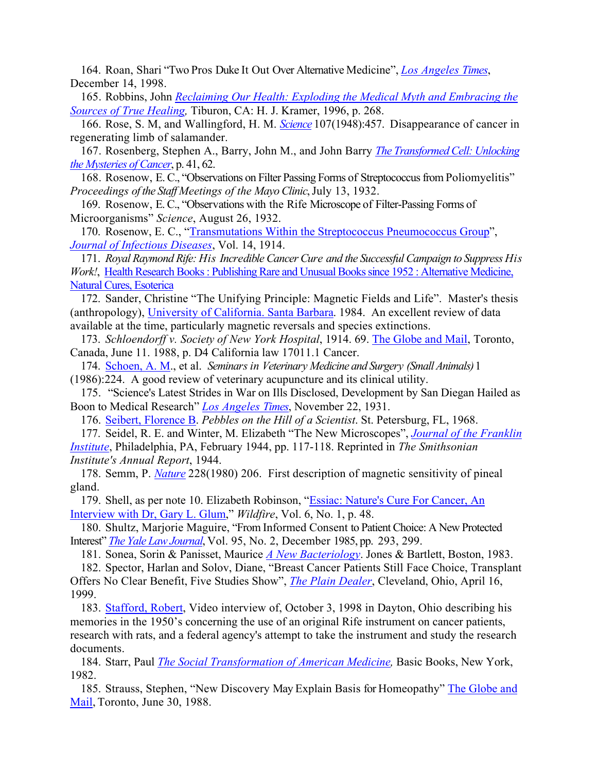164. Roan, Shari "Two Pros Duke It Out Over Alternative Medicine", *[Los Angeles Times](http://www.latimes.com/)*, December 14, 1998.

165. Robbins, John *[Reclaiming Our Health: Exploding the Medical Myth and Embracing the](http://www.amazon.com/exec/obidos/tg/detail/-/0915811804/qid=1087409855/sr=1-1/ref=sr_1_1/104-3848400-3641550?v=glance&s=books)  [Sources of True Healing,](http://www.amazon.com/exec/obidos/tg/detail/-/0915811804/qid=1087409855/sr=1-1/ref=sr_1_1/104-3848400-3641550?v=glance&s=books)* Tiburon, CA: H. J. Kramer, 1996, p. 268.

166. Rose, S. M, and Wallingford, H. M. *[Science](http://www.sciencemag.org/)* 107(1948):457. Disappearance of cancer in regenerating limb of salamander.

167. Rosenberg, Stephen A., Barry, John M., and John Barry *[The Transformed Cell: Unlocking](http://www.amazon.com/exec/obidos/tg/detail/-/0380721155/qid=1087415188/sr=1-1/ref=sr_1_1/002-4606049-4637619?v=glance&s=books)  [the Mysteries of Cancer](http://www.amazon.com/exec/obidos/tg/detail/-/0380721155/qid=1087415188/sr=1-1/ref=sr_1_1/002-4606049-4637619?v=glance&s=books)*, p. 41, 62.

168. Rosenow, E. C., "Observations on Filter Passing Forms of Streptococcus from Poliomyelitis" *Proceedings of the Staff Meetings of the Mayo Clinic*, July 13, 1932.

169. Rosenow, E. C., "Observations with the Rife Microscope of Filter-Passing Forms of Microorganisms" *Science*, August 26, 1932.

170. Rosenow, E. C., ["Transmutations Within the Streptococcus Pneumococcus Group](http://www.ncbi.nlm.nih.gov/entrez/query.fcgi?cmd=Retrieve&db=pubmed&dopt=Abstract&list_uids=14986334)", *[Journal of Infectious Diseases](http://www.journals.uchicago.edu/JID/home.html)*, Vol. 14, 1914.

171. *Royal Raymond Rife: His Incredible Cancer Cure and the Successful Campaign to Suppress His Work!*, [Health Research Books : Publishing Rare and Unusual Books since 1952 : Alternative Medicine,](http://www.healthresearchbooks.com/pages/article_categories.php)  [Natural Cures, Esoterica](http://www.healthresearchbooks.com/pages/article_categories.php)

172. Sander, Christine "The Unifying Principle: Magnetic Fields and Life". Master's thesis (anthropology), [University of California. Santa Barbara.](http://www.ucsb.edu/) 1984. An excellent review of data available at the time, particularly magnetic reversals and species extinctions.

173. *Schloendorff v. Society of New York Hospital*, 1914. 69. [The Globe and Mail](http://www.globeandmail.com/), Toronto, Canada, June 11. 1988, p. D4 California law 17011.1 Cancer.

174. [Schoen, A. M.](http://www.tufts.edu/vet/continedu/schoen.html), et al. *Seminars in Veterinary Medicine and Surgery (Small Animals)* 1 (1986):224. A good review of veterinary acupuncture and its clinical utility.

175. "Science's Latest Strides in War on Ills Disclosed, Development by San Diegan Hailed as Boon to Medical Research" *[Los Angeles Times](http://www.latimes.com/)*, November 22, 1931.

176. [Seibert, Florence B](http://jchemed.chem.wisc.edu/JCEWWW/Features/eChemists/Bios/Siebert.html). *Pebbles on the Hill of a Scientist*. St. Petersburg, FL, 1968.

177. Seidel, R. E. and Winter, M. Elizabeth "The New Microscopes", *[Journal of the Franklin](http://sln.fi.edu/tfi/publications/journal.html)  [Institute](http://sln.fi.edu/tfi/publications/journal.html)*, Philadelphia, PA, February 1944, pp. 117-118. Reprinted in *The Smithsonian Institute's Annual Report*, 1944.

178. Semm, P. *[Nature](http://www.nature.com/)* 228(1980) 206. First description of magnetic sensitivity of pineal gland.

179. Shell, as per note 10. Elizabeth Robinson, ["Essiac: Nature's Cure For Cancer, An](http://www.nw.com.au/~keane/healing/04Treatment/4Cancer/41Essiac.htm)  [Interview with Dr, Gary L. Glum,](http://www.nw.com.au/~keane/healing/04Treatment/4Cancer/41Essiac.htm)" *Wildfire*, Vol. 6, No. 1, p. 48.

180. Shultz, Marjorie Maguire, "From Informed Consent to Patient Choice: A New Protected Interest" *[The Yale Law Journal](http://www.jstor.org/journals/00440094.html)*, Vol. 95, No. 2, December 1985, pp. 293, 299.

181. Sonea, Sorin & Panisset, Maurice *[A New Bacteriology](http://www.amazon.com/exec/obidos/tg/detail/-/0867200251/qid=1087421427/sr=1-1/ref=sr_1_1/002-4606049-4637619?v=glance&s=books)*. Jones & Bartlett, Boston, 1983.

182. Spector, Harlan and Solov, Diane, "Breast Cancer Patients Still Face Choice, Transplant Offers No Clear Benefit, Five Studies Show", *[The Plain Dealer](http://www.plaindealer.com/)*, Cleveland, Ohio, April 16, 1999.

183. [Stafford, Robert,](http://www.rife.org/rifecds.html) Video interview of, October 3, 1998 in Dayton, Ohio describing his memories in the 1950's concerning the use of an original Rife instrument on cancer patients, research with rats, and a federal agency's attempt to take the instrument and study the research documents.

184. Starr, Paul *[The Social Transformation of American Medicine,](http://www.amazon.com/exec/obidos/ASIN/0465079350/qid=1087424816/sr=2-1/ref=sr_2_1/002-4606049-4637619)* Basic Books, New York, 1982.

185. Strauss, Stephen, "New Discovery May Explain Basis for Homeopathy" [The Globe and](http://www.globeandmail.com/)  [Mail](http://www.globeandmail.com/), Toronto, June 30, 1988.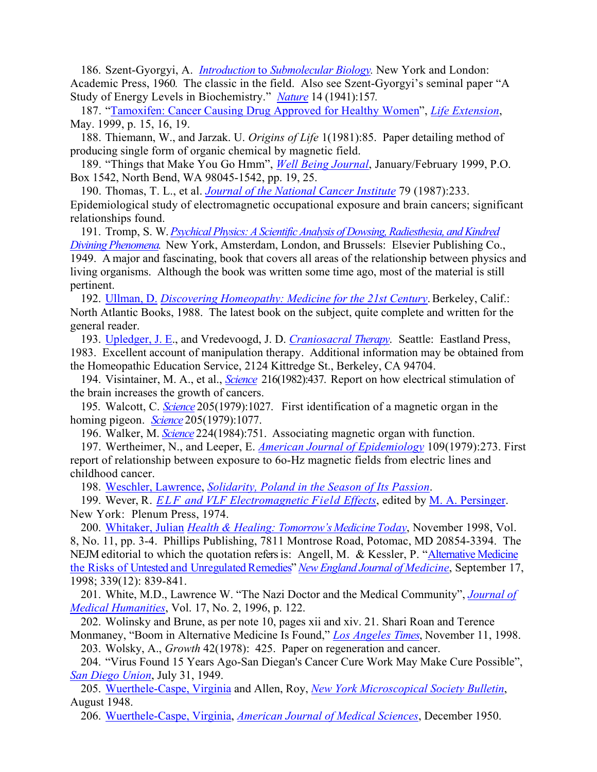186. Szent-Gyorgyi, A. *Introduction* to *[Submolecular Biology](http://www.amazon.com/exec/obidos/ASIN/0126809682/qid%3D1087425029/sr%3D11-1/ref%3Dsr%5F11%5F1/002-4606049-4637619).* New York and London: Academic Press, 1960*.* The classic in the field. Also see Szent-Gyorgyi's seminal paper "A Study of Energy Levels in Biochemistry." *[Nature](http://www.nature.com/)* 14 (1941):157*.*

187. ["Tamoxifen: Cancer Causing Drug Approved for Healthy Women](http://www.lef.org/magazine/mag99/may99-cover.html)", *[Life Extension](http://www.lef.org/magazine/?source=Google&key=Life_Extension_Magazine)*, May. 1999, p. 15, 16, 19.

188. Thiemann, W., and Jarzak. U. *Origins of Life* 1(1981):85. Paper detailing method of producing single form of organic chemical by magnetic field.

189. "Things that Make You Go Hmm", *[Well Being Journal](http://www.wellbeingjournal.com/)*, January/February 1999, P.O. Box 1542, North Bend, WA 98045-1542, pp. 19, 25.

190. Thomas, T. L., et al. *[Journal of the National Cancer Institute](http://jncicancerspectrum.oupjournals.org/)* 79 (1987):233. Epidemiological study of electromagnetic occupational exposure and brain cancers; significant relationships found.

191. Tromp, S. W. *[Psychical Physics: A Scientific Analysis of Dowsing, Radiesthesia, and Kindred](http://www.orgonelab.org/cgi-bin/shop.pl/page=xlifenergy.htm)  [Divining Phenomena.](http://www.orgonelab.org/cgi-bin/shop.pl/page=xlifenergy.htm)* New York, Amsterdam, London, and Brussels: Elsevier Publishing Co., 1949. A major and fascinating, book that covers all areas of the relationship between physics and living organisms. Although the book was written some time ago, most of the material is still pertinent.

192. Ullman, D. *[Discovering Homeopathy: Medicine for the 21st Century](http://www.amazon.com/exec/obidos/tg/detail/-/1556431082/qid=1087426369/sr=1-1/ref=sr_1_1/002-4606049-4637619?v=glance&s=books)*. Berkeley, Calif.: North Atlantic Books, 1988. The latest book on the subject, quite complete and written for the general reader.

193. Upledger, J. E., and Vredevoogd, J. D. *[Craniosacral Therapy](http://www.amazon.com/exec/obidos/tg/detail/-/0939616017/qid=1087426496/sr=1-1/ref=sr_1_1/002-4606049-4637619?v=glance&s=books)*. Seattle: Eastland Press, 1983. Excellent account of manipulation therapy. Additional information may be obtained from the Homeopathic Education Service, 2124 Kittredge St., Berkeley, CA 94704.

194. Visintainer, M. A., et al., *[Science](http://www.sciencemag.org/)* 216(1982):437. Report on how electrical stimulation of the brain increases the growth of cancers.

195. Walcott, C. *[Science](http://www.sciencemag.org/)* 205(1979):1027. First identification of a magnetic organ in the homing pigeon. *[Science](http://www.sciencemag.org/)* 205(1979):1077.

196. Walker, M. *[Science](http://www.sciencemag.org/)* 224(1984):751. Associating magnetic organ with function.

197. Wertheimer, N., and Leeper, E. *[American Journal of Epidemiology](http://aje.oupjournals.org/)* 109(1979):273. First

report of relationship between exposure to 6o-Hz magnetic fields from electric lines and childhood cancer.

198. Weschler, Lawrence, *[Solidarity, Poland in the Season of Its Passion](http://www.amazon.com/exec/obidos/tg/detail/-/0671449656/qid=1087427446/sr=1-1/ref=sr_1_1/002-4606049-4637619?v=glance&s=books)*.

199. Wever, R. *ELF and VLF Electromagnetic Field Effects*, edited by M. A. Persinger. New York: Plenum Press, 1974.

200. [Whitaker, Julian](http://www.drwhitaker.com/index.asp) *[Health & Healing: Tomorrow's Medicine Today](http://www.internetwks.com/pauling/whitaker.html)*, November 1998, Vol. 8, No. 11, pp. 3-4. Phillips Publishing, 7811 Montrose Road, Potomac, MD 20854-3394. The NEJM editorial to which the quotation refers is: Angell, M. & Kessler, P. "[Alternative Medicine](http://content.nejm.org/cgi/content/short/339/12/839)  [the Risks of Untested and Unregulated Remedies"](http://content.nejm.org/cgi/content/short/339/12/839) *[New England Journal of Medicine](http://content.nejm.org/)*, September 17, 1998; 339(12): 839-841.

201. White, M.D., Lawrence W. "The Nazi Doctor and the Medical Community", *[Journal of](http://www.kluweronline.com/issn/1041-3545/contents)  [Medical Humanities](http://www.kluweronline.com/issn/1041-3545/contents)*, Vol. 17, No. 2, 1996, p. 122.

202. Wolinsky and Brune, as per note 10, pages xii and xiv. 21. Shari Roan and Terence Monmaney, "Boom in Alternative Medicine Is Found," *[Los Angeles Times](http://www.latimes.com/)*, November 11, 1998.

203. Wolsky, A., *Growth* 42(1978): 425. Paper on regeneration and cancer.

204. "Virus Found 15 Years Ago-San Diegan's Cancer Cure Work May Make Cure Possible", *[San Diego Union](http://www.signonsandiego.com/)*, July 31, 1949.

205. [Wuerthele-Caspe, Virginia](http://www.lfmc.net/articles/the-challange-2.htm) and Allen, Roy, *[New York Microscopical Society Bulletin](http://www.nyms.org/)*, August 1948.

206. [Wuerthele-Caspe, Virginia](http://www.lfmc.net/articles/the-challange-2.htm), *[American Journal of Medical Sciences](http://www.amjmedsci.com/pt/re/ajms/home.htm;jsessionid=AQfm6OoM51Gtkq1gh2sKMftEsx2srN0VGh5CHg2XLDSVlRvP4jOE!1208866215!-949856031!9001!-1)*, December 1950.